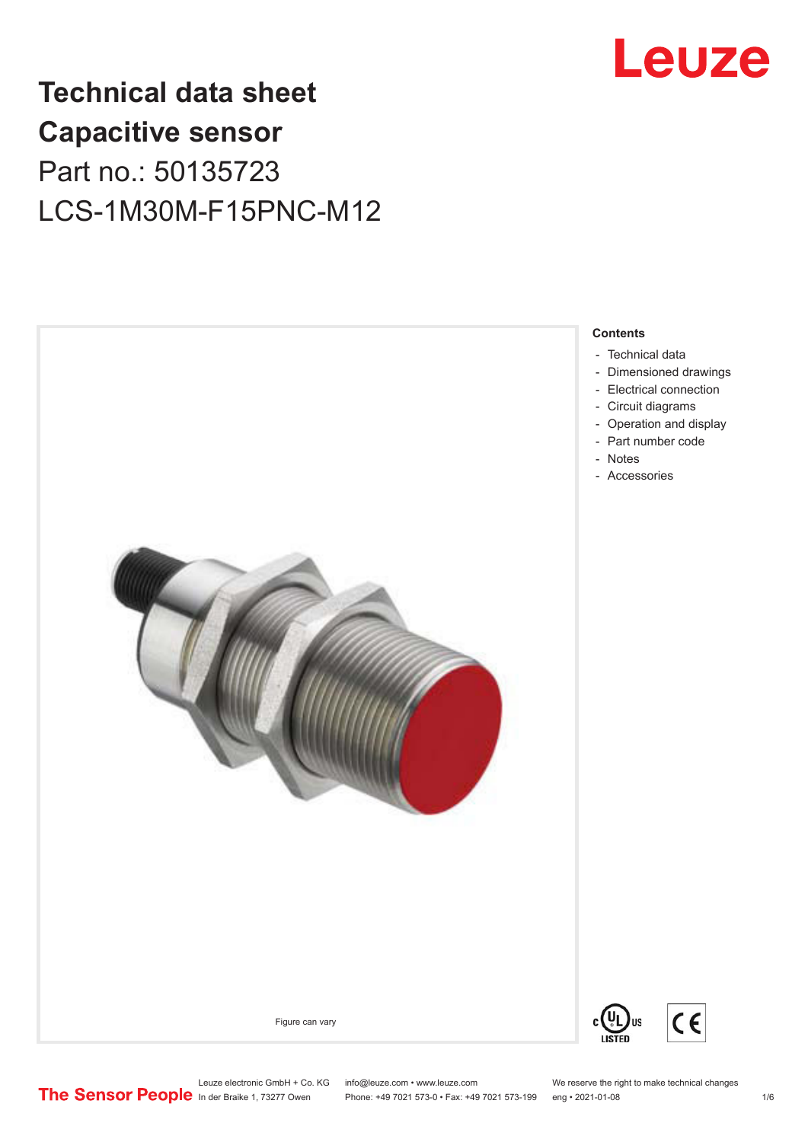

## **Technical data sheet Capacitive sensor** Part no.: 50135723 LCS-1M30M-F15PNC-M12



Leuze electronic GmbH + Co. KG info@leuze.com • www.leuze.com We reserve the right to make technical changes<br> **The Sensor People** in der Braike 1, 73277 Owen Phone: +49 7021 573-0 • Fax: +49 7021 573-199 eng • 2021-01-08

Phone: +49 7021 573-0 • Fax: +49 7021 573-199 eng • 2021-01-08 1/6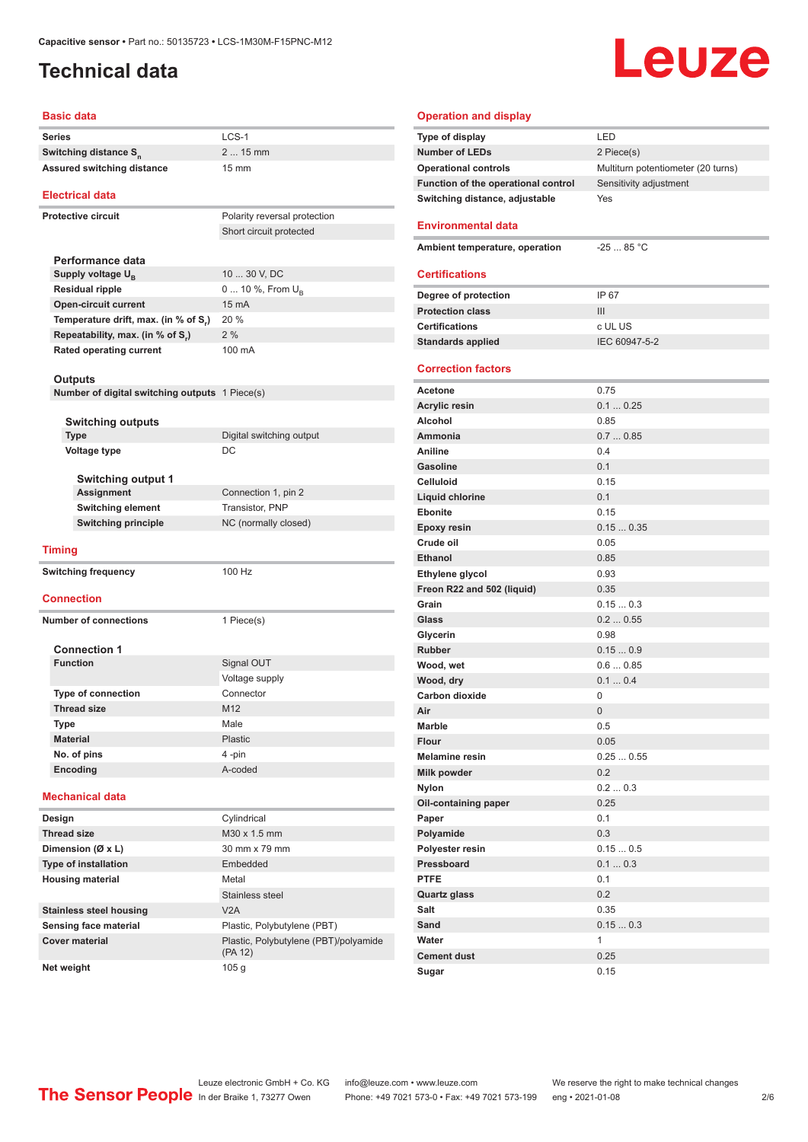#### <span id="page-1-0"></span>**Technical data**

# **Leuze**

#### **Basic data**

| Series                                         | $LCS-1$                            |  |  |
|------------------------------------------------|------------------------------------|--|--|
| Switching distance S <sub>n</sub>              | 2  15 mm                           |  |  |
| <b>Assured switching distance</b>              | $15 \text{ mm}$                    |  |  |
| <b>Electrical data</b>                         |                                    |  |  |
|                                                |                                    |  |  |
| <b>Protective circuit</b>                      | Polarity reversal protection       |  |  |
|                                                | Short circuit protected            |  |  |
|                                                |                                    |  |  |
| Performance data<br>Supply voltage $U_{B}$     |                                    |  |  |
| <b>Residual ripple</b>                         | 10  30 V, DC                       |  |  |
| <b>Open-circuit current</b>                    | 0  10 %, From $U_{\rm B}$<br>15 mA |  |  |
|                                                | 20 %                               |  |  |
| Temperature drift, max. (in % of S.)           | 2%                                 |  |  |
| Repeatability, max. (in % of S.)               |                                    |  |  |
| Rated operating current                        | 100 mA                             |  |  |
| <b>Outputs</b>                                 |                                    |  |  |
| Number of digital switching outputs 1 Piece(s) |                                    |  |  |
|                                                |                                    |  |  |
| Switching outputs                              |                                    |  |  |
| <b>Type</b>                                    | Digital switching output           |  |  |
| <b>Voltage type</b>                            | DC                                 |  |  |
|                                                |                                    |  |  |
| <b>Switching output 1</b>                      |                                    |  |  |
| Assignment                                     | Connection 1, pin 2                |  |  |
| <b>Switching element</b>                       | <b>Transistor, PNP</b>             |  |  |
| <b>Switching principle</b>                     | NC (normally closed)               |  |  |
| <b>Timing</b>                                  |                                    |  |  |
|                                                |                                    |  |  |
| <b>Switching frequency</b>                     | 100 Hz                             |  |  |
|                                                |                                    |  |  |
| <b>Connection</b>                              |                                    |  |  |
|                                                |                                    |  |  |
| <b>Number of connections</b>                   | 1 Piece(s)                         |  |  |
|                                                |                                    |  |  |
| <b>Connection 1</b><br><b>Function</b>         | Signal OUT                         |  |  |
|                                                | Voltage supply                     |  |  |
| <b>Type of connection</b>                      | Connector                          |  |  |
| <b>Thread size</b>                             | M12                                |  |  |
| Type                                           | Male                               |  |  |
| <b>Material</b>                                | Plastic                            |  |  |
| No. of pins                                    | 4-pin                              |  |  |
| Encoding                                       | A-coded                            |  |  |
|                                                |                                    |  |  |
| <b>Mechanical data</b>                         |                                    |  |  |
| Design                                         | Cylindrical                        |  |  |
| <b>Thread size</b>                             | M30 x 1.5 mm                       |  |  |
| Dimension (Ø x L)                              | 30 mm x 79 mm                      |  |  |
| <b>Type of installation</b>                    | Embedded                           |  |  |
| <b>Housing material</b>                        | Metal                              |  |  |
|                                                | Stainless steel                    |  |  |
| <b>Stainless steel housing</b>                 | V2A                                |  |  |
| Sensing face material                          | Plastic, Polybutylene (PBT)        |  |  |

| <b>Operation and display</b>        |                                    |
|-------------------------------------|------------------------------------|
| Type of display                     | LED                                |
| <b>Number of LEDs</b>               | 2 Piece(s)                         |
| <b>Operational controls</b>         | Multiturn potentiometer (20 turns) |
| Function of the operational control | Sensitivity adjustment             |
| Switching distance, adjustable      | Yes                                |
| <b>Environmental data</b>           |                                    |
| Ambient temperature, operation      | $-25$ 85 °C                        |
| <b>Certifications</b>               |                                    |
| Degree of protection                | IP 67                              |
| <b>Protection class</b>             | III                                |
| <b>Certifications</b>               | c UL US                            |
| <b>Standards applied</b>            | IEC 60947-5-2                      |
| <b>Correction factors</b>           |                                    |
| <b>Acetone</b>                      | 0.75                               |
| <b>Acrylic resin</b>                | 0.10.25                            |
| Alcohol                             | 0.85                               |
| Ammonia                             | 0.70.85                            |
| Aniline                             | 0.4                                |
| Gasoline                            | 0.1                                |
| <b>Celluloid</b>                    | 0.15                               |
| <b>Liquid chlorine</b>              | 0.1                                |
| <b>Ebonite</b>                      | 0.15                               |
| Epoxy resin                         | 0.150.35                           |
| Crude oil                           | 0.05                               |
| <b>Ethanol</b>                      | 0.85                               |
| Ethylene glycol                     | 0.93                               |
| Freon R22 and 502 (liquid)          | 0.35                               |
| Grain                               | 0.150.3                            |
| <b>Glass</b>                        | 0.20.55                            |
| Glycerin                            | 0.98                               |
| <b>Rubber</b>                       | 0.150.9                            |
| Wood, wet                           | 0.60.85                            |
| Wood, dry                           | 0.10.4                             |
| <b>Carbon dioxide</b>               | 0                                  |
| Air                                 | 0                                  |
| Marble<br><b>Flour</b>              | 0.5<br>0.05                        |
| <b>Melamine resin</b>               | 0.250.55                           |
| Milk powder                         | 0.2                                |
| Nylon                               | 0.20.3                             |
| Oil-containing paper                | 0.25                               |
| Paper                               | 0.1                                |
| Polyamide                           | 0.3                                |
| Polyester resin                     | 0.150.5                            |
| Pressboard                          | 0.10.3                             |
| <b>PTFE</b>                         | 0.1                                |
| <b>Quartz glass</b>                 | 0.2                                |
| Salt                                | 0.35                               |
| Sand                                | 0.150.3                            |
| Water                               | 1                                  |
| <b>Cement dust</b>                  | 0.25                               |
| Sugar                               | 0.15                               |

Leuze electronic GmbH + Co. KG info@leuze.com • www.leuze.com We reserve the right to make technical changes ln der Braike 1, 73277 Owen Phone: +49 7021 573-0 • Fax: +49 7021 573-199 eng • 2021-01-08 2/6

(PA 12)

**Net weight** 105 g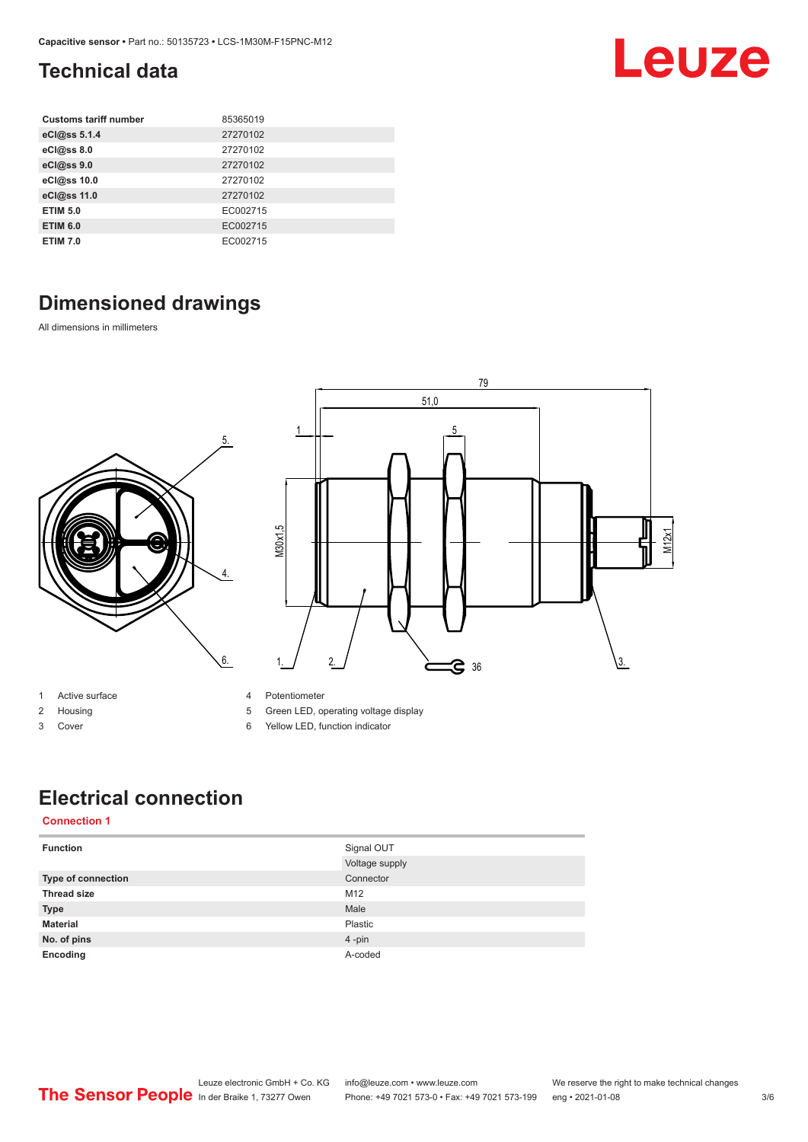#### <span id="page-2-0"></span>**Technical data**

| <b>Customs tariff number</b> | 85365019 |
|------------------------------|----------|
| eCl@ss 5.1.4                 | 27270102 |
| eCl@ss 8.0                   | 27270102 |
| eCl@ss 9.0                   | 27270102 |
| eCl@ss 10.0                  | 27270102 |
| eCl@ss 11.0                  | 27270102 |
| <b>ETIM 5.0</b>              | EC002715 |
| <b>ETIM 6.0</b>              | EC002715 |
| <b>ETIM 7.0</b>              | EC002715 |

### **Dimensioned drawings**

All dimensions in millimeters



1 Active surface 2 Housing

3 Cover

- 4 Potentiometer
- 5 Green LED, operating voltage display
- 6 Yellow LED, function indicator

#### **Electrical connection**

#### **Connection 1**

| <b>Function</b>    | Signal OUT     |
|--------------------|----------------|
|                    | Voltage supply |
| Type of connection | Connector      |
| <b>Thread size</b> | M12            |
| <b>Type</b>        | Male           |
| <b>Material</b>    | Plastic        |
| No. of pins        | 4-pin          |
| Encoding           | A-coded        |

Leuze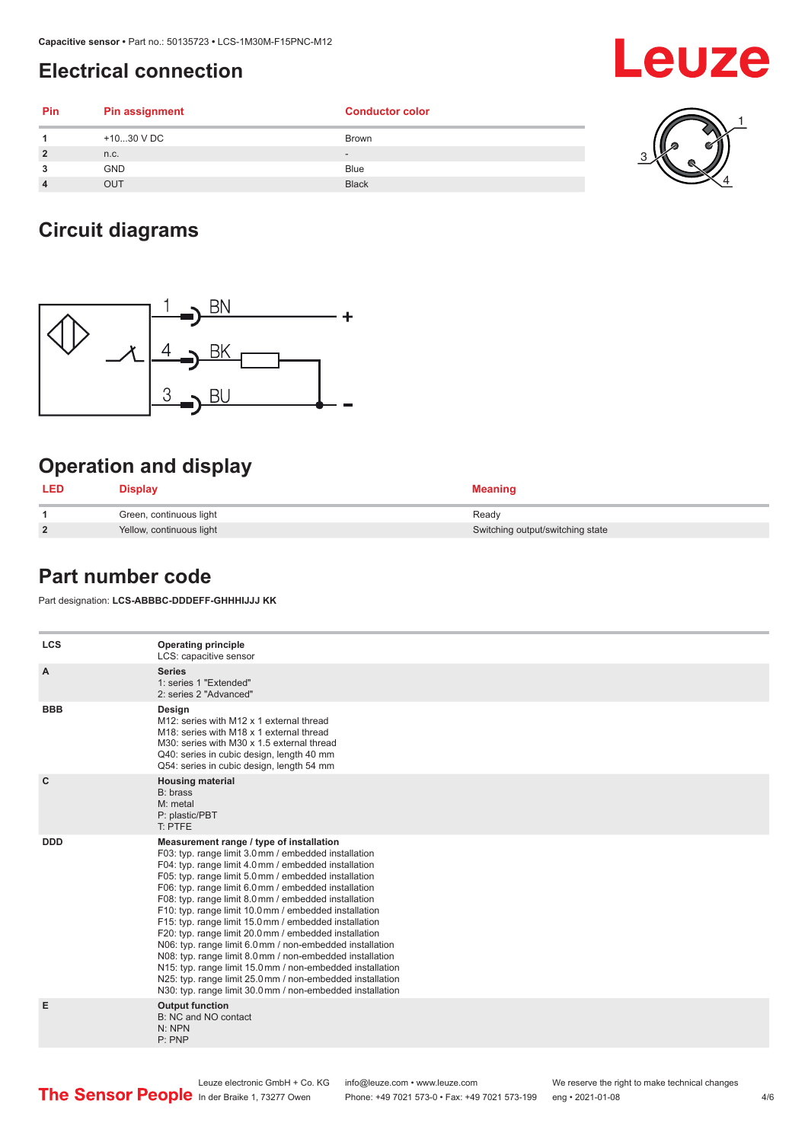#### <span id="page-3-0"></span>**Electrical connection**

## Leuze

| <b>Pin</b>     | <b>Pin assignment</b> | <b>Conductor color</b>   |      |
|----------------|-----------------------|--------------------------|------|
|                | +1030 V DC            | <b>Brown</b>             | - 22 |
| $\overline{2}$ | n.c.                  | $\overline{\phantom{a}}$ |      |
| 3              | <b>GND</b>            | <b>Blue</b>              |      |
| $\overline{4}$ | OUT                   | <b>Black</b>             |      |

#### **Circuit diagrams**



#### **Operation and display**

| <b>LED</b>   | <b>Display</b>           | <b>Meaning</b>                   |
|--------------|--------------------------|----------------------------------|
|              | Green, continuous light  | Ready                            |
| $\mathbf{2}$ | Yellow, continuous light | Switching output/switching state |

#### **Part number code**

Part designation: **LCS-ABBBC-DDDEFF-GHHHIJJJ KK**

| <b>LCS</b> | <b>Operating principle</b><br>LCS: capacitive sensor                                                                                                                                                                                                                                                                                                                                                                                                                                                                                                                                                                                                                                                                                                                                                                       |
|------------|----------------------------------------------------------------------------------------------------------------------------------------------------------------------------------------------------------------------------------------------------------------------------------------------------------------------------------------------------------------------------------------------------------------------------------------------------------------------------------------------------------------------------------------------------------------------------------------------------------------------------------------------------------------------------------------------------------------------------------------------------------------------------------------------------------------------------|
| A          | <b>Series</b><br>1: series 1 "Extended"<br>2: series 2 "Advanced"                                                                                                                                                                                                                                                                                                                                                                                                                                                                                                                                                                                                                                                                                                                                                          |
| <b>BBB</b> | Design<br>M12: series with M12 x 1 external thread<br>M18: series with M18 x 1 external thread<br>M30: series with M30 x 1.5 external thread<br>Q40: series in cubic design, length 40 mm<br>Q54: series in cubic design, length 54 mm                                                                                                                                                                                                                                                                                                                                                                                                                                                                                                                                                                                     |
| C          | <b>Housing material</b><br>B: brass<br>M: metal<br>P: plastic/PBT<br>T: PTFE                                                                                                                                                                                                                                                                                                                                                                                                                                                                                                                                                                                                                                                                                                                                               |
| <b>DDD</b> | Measurement range / type of installation<br>F03: typ. range limit 3.0 mm / embedded installation<br>F04: typ. range limit 4.0 mm / embedded installation<br>F05: typ. range limit 5.0 mm / embedded installation<br>F06: typ. range limit 6.0 mm / embedded installation<br>F08: typ. range limit 8.0 mm / embedded installation<br>F10: typ. range limit 10.0 mm / embedded installation<br>F15: typ. range limit 15.0 mm / embedded installation<br>F20: typ. range limit 20.0 mm / embedded installation<br>N06: typ. range limit 6.0 mm / non-embedded installation<br>N08: typ. range limit 8.0 mm / non-embedded installation<br>N15: typ. range limit 15.0 mm / non-embedded installation<br>N25: typ. range limit 25.0 mm / non-embedded installation<br>N30: typ. range limit 30.0 mm / non-embedded installation |
| E          | <b>Output function</b><br>B: NC and NO contact<br>N: NPN<br>P: PNP                                                                                                                                                                                                                                                                                                                                                                                                                                                                                                                                                                                                                                                                                                                                                         |

## Leuze electronic GmbH + Co. KG info@leuze.com • www.leuze.com We reserve the right to make technical changes<br>
The Sensor People in der Braike 1, 73277 Owen Phone: +49 7021 573-0 • Fax: +49 7021 573-199 eng • 2021-01-08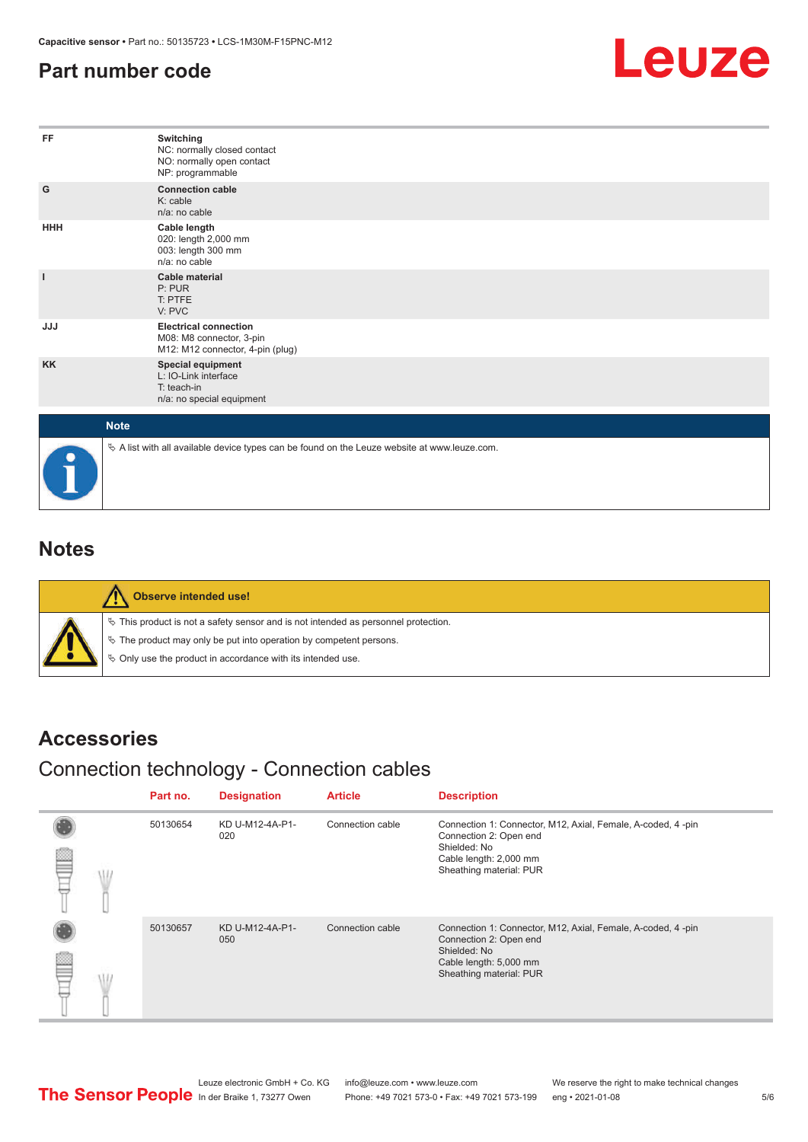#### <span id="page-4-0"></span>**Part number code**



| FF           | Switching<br>NC: normally closed contact<br>NO: normally open contact<br>NP: programmable       |
|--------------|-------------------------------------------------------------------------------------------------|
| G            | <b>Connection cable</b><br>K: cable<br>n/a: no cable                                            |
| <b>HHH</b>   | Cable length<br>020: length 2,000 mm<br>003: length 300 mm<br>n/a: no cable                     |
| $\mathbf{I}$ | Cable material<br>P: PUR<br>T: PTFE<br>V: PVC                                                   |
| <b>JJJ</b>   | <b>Electrical connection</b><br>M08: M8 connector, 3-pin<br>M12: M12 connector, 4-pin (plug)    |
| <b>KK</b>    | <b>Special equipment</b><br>L: IO-Link interface<br>T: teach-in<br>n/a: no special equipment    |
| <b>Note</b>  |                                                                                                 |
|              | $\&$ A list with all available device types can be found on the Leuze website at www.leuze.com. |

#### **Notes**

| Observe intended use!                                                                                                                                                                                                            |
|----------------------------------------------------------------------------------------------------------------------------------------------------------------------------------------------------------------------------------|
| $\%$ This product is not a safety sensor and is not intended as personnel protection.<br>$\%$ The product may only be put into operation by competent persons.<br>$\%$ Only use the product in accordance with its intended use. |

#### **Accessories**

#### Connection technology - Connection cables

|  | Part no. | <b>Designation</b>     | <b>Article</b>   | <b>Description</b>                                                                                                                                         |
|--|----------|------------------------|------------------|------------------------------------------------------------------------------------------------------------------------------------------------------------|
|  | 50130654 | KD U-M12-4A-P1-<br>020 | Connection cable | Connection 1: Connector, M12, Axial, Female, A-coded, 4-pin<br>Connection 2: Open end<br>Shielded: No<br>Cable length: 2,000 mm<br>Sheathing material: PUR |
|  | 50130657 | KD U-M12-4A-P1-<br>050 | Connection cable | Connection 1: Connector, M12, Axial, Female, A-coded, 4-pin<br>Connection 2: Open end<br>Shielded: No<br>Cable length: 5,000 mm<br>Sheathing material: PUR |